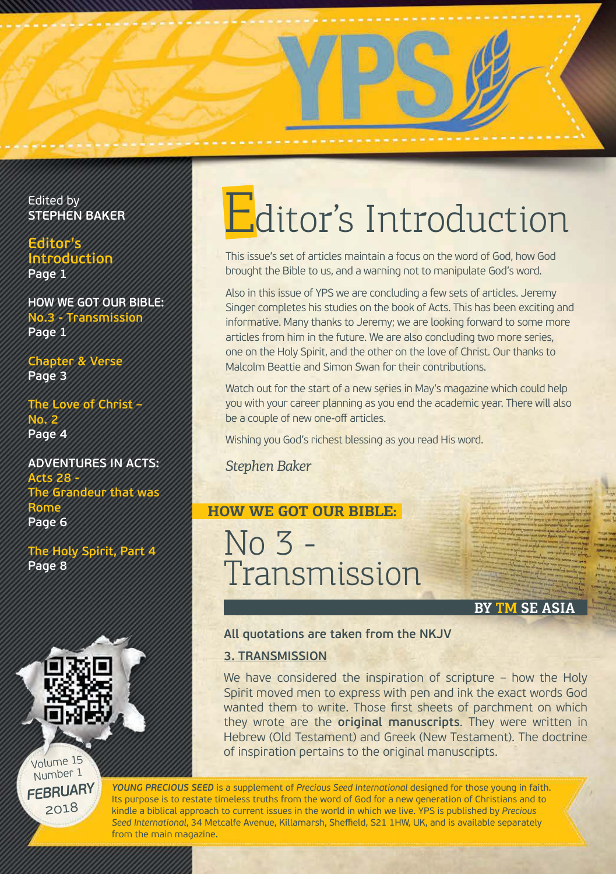

### Edited by **STEPHEN BAKER**

### **Editor's Introduction Page 1**

**HOW WE GOT OUR BIBLE: No.3 - Transmission Page 1**

**Chapter & Verse Page 3**

**The Love of Christ – No. 2 Page 4**

**ADVENTURES IN ACTS: Acts 28 - The Grandeur that was Rome Page 6**

**The Holy Spirit, Part 4 Page 8**

*FEBRUARY* 2018 Volume <sup>15</sup> Number <sup>1</sup>

# Editor's Introduction

This issue's set of articles maintain a focus on the word of God, how God brought the Bible to us, and a warning not to manipulate God's word.

Also in this issue of YPS we are concluding a few sets of articles. Jeremy Singer completes his studies on the book of Acts. This has been exciting and informative. Many thanks to Jeremy; we are looking forward to some more articles from him in the future. We are also concluding two more series, one on the Holy Spirit, and the other on the love of Christ. Our thanks to Malcolm Beattie and Simon Swan for their contributions.

Watch out for the start of a new series in May's magazine which could help you with your career planning as you end the academic year. There will also be a couple of new one-off articles.

Wishing you God's richest blessing as you read His word.

*Stephen Baker*

### **HOW WE GOT OUR BIBLE:**

No 3 - Transmission

**BY TM SE ASIA**

### **All quotations are taken from the NKJV**

### **3. TRANSMISSION**

We have considered the inspiration of scripture – how the Holy Spirit moved men to express with pen and ink the exact words God wanted them to write. Those first sheets of parchment on which they wrote are the **original manuscripts**. They were written in Hebrew (Old Testament) and Greek (New Testament). The doctrine of inspiration pertains to the original manuscripts.

*YOUNG PRECIOUS SEED* is a supplement of *Precious Seed International* designed for those young in faith. Its purpose is to restate timeless truths from the word of God for a new generation of Christians and to kindle a biblical approach to current issues in the world in which we live. YPS is published by *Precious Seed International*, 34 Metcalfe Avenue, Killamarsh, Sheffield, S21 1HW, UK, and is available separately from the main magazine.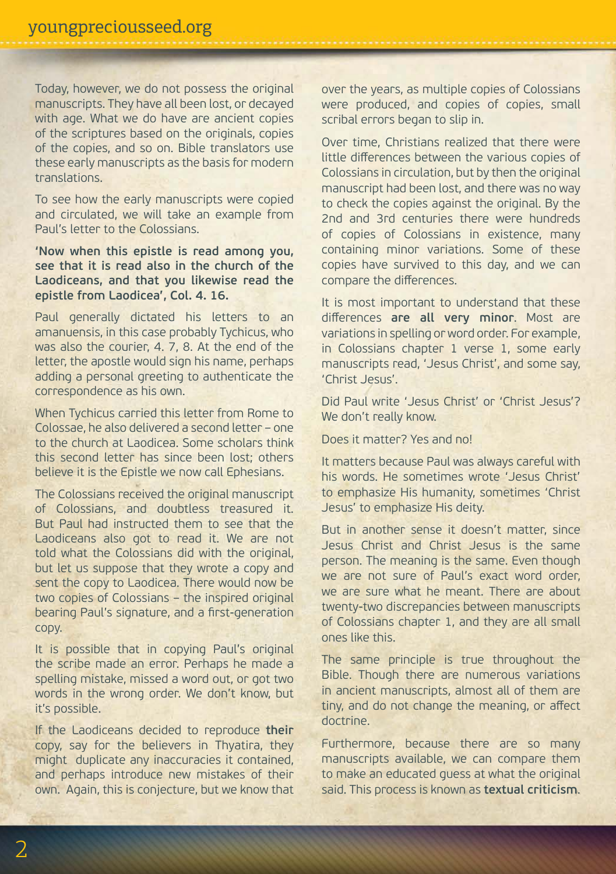Today, however, we do not possess the original manuscripts. They have all been lost, or decayed with age. What we do have are ancient copies of the scriptures based on the originals, copies of the copies, and so on. Bible translators use these early manuscripts as the basis for modern translations.

To see how the early manuscripts were copied and circulated, we will take an example from Paul's letter to the Colossians.

**'Now when this epistle is read among you, see that it is read also in the church of the Laodiceans, and that you likewise read the epistle from Laodicea', Col. 4. 16.**

Paul generally dictated his letters to an amanuensis, in this case probably Tychicus, who was also the courier, 4. 7, 8. At the end of the letter, the apostle would sign his name, perhaps adding a personal greeting to authenticate the correspondence as his own.

When Tychicus carried this letter from Rome to Colossae, he also delivered a second letter – one to the church at Laodicea. Some scholars think this second letter has since been lost; others believe it is the Epistle we now call Ephesians.

The Colossians received the original manuscript of Colossians, and doubtless treasured it. But Paul had instructed them to see that the Laodiceans also got to read it. We are not told what the Colossians did with the original, but let us suppose that they wrote a copy and sent the copy to Laodicea. There would now be two copies of Colossians – the inspired original bearing Paul's signature, and a first-generation copy.

It is possible that in copying Paul's original the scribe made an error. Perhaps he made a spelling mistake, missed a word out, or got two words in the wrong order. We don't know, but it's possible.

If the Laodiceans decided to reproduce **their** copy, say for the believers in Thyatira, they might duplicate any inaccuracies it contained, and perhaps introduce new mistakes of their own. Again, this is conjecture, but we know that over the years, as multiple copies of Colossians were produced, and copies of copies, small scribal errors began to slip in.

Over time, Christians realized that there were little differences between the various copies of Colossians in circulation, but by then the original manuscript had been lost, and there was no way to check the copies against the original. By the 2nd and 3rd centuries there were hundreds of copies of Colossians in existence, many containing minor variations. Some of these copies have survived to this day, and we can compare the differences.

It is most important to understand that these differences **are all very minor**. Most are variations in spelling or word order. For example, in Colossians chapter 1 verse 1, some early manuscripts read, 'Jesus Christ', and some say, 'Christ Jesus'.

Did Paul write 'Jesus Christ' or 'Christ Jesus'? We don't really know.

Does it matter? Yes and no!

It matters because Paul was always careful with his words. He sometimes wrote 'Jesus Christ' to emphasize His humanity, sometimes 'Christ Jesus' to emphasize His deity.

But in another sense it doesn't matter, since Jesus Christ and Christ Jesus is the same person. The meaning is the same. Even though we are not sure of Paul's exact word order. we are sure what he meant. There are about twenty-two discrepancies between manuscripts of Colossians chapter 1, and they are all small ones like this.

The same principle is true throughout the Bible. Though there are numerous variations in ancient manuscripts, almost all of them are tiny, and do not change the meaning, or affect doctrine.

Furthermore, because there are so many manuscripts available, we can compare them to make an educated guess at what the original said. This process is known as **textual criticism**.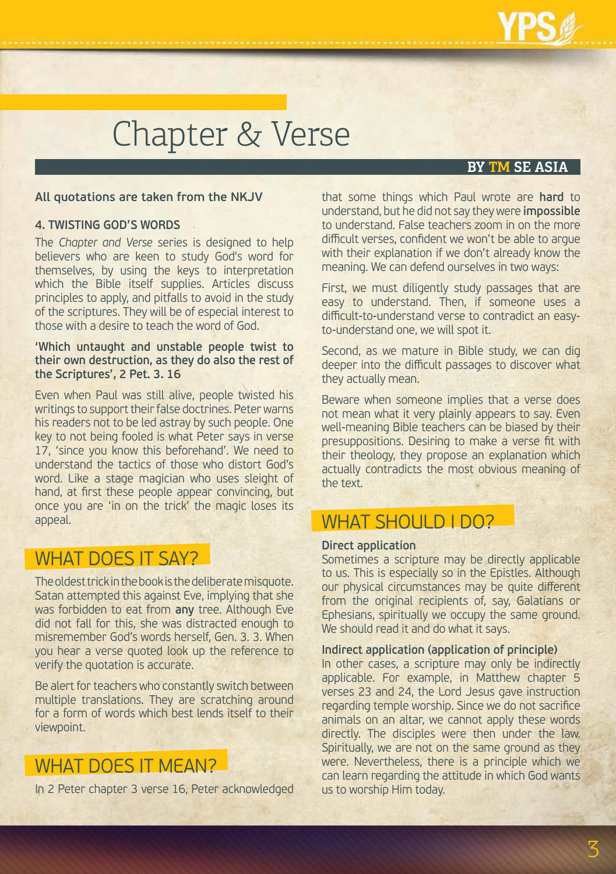## Chapter & Verse

### **BY TM SE ASIA**

### **All quotations are taken from the NKJV**

### **4. TWISTING GOD'S WORDS**

The *Chapter and Verse* series is designed to help believers who are keen to study God's word for themselves, by using the keys to interpretation which the Bible itself supplies. Articles discuss principles to apply, and pitfalls to avoid in the study of the scriptures. They will be of especial interest to those with a desire to teach the word of God.

### **'Which untaught and unstable people twist to their own destruction, as they do also the rest of the Scriptures', 2 Pet. 3. 16**

Even when Paul was still alive, people twisted his writings to support their false doctrines. Peter warns his readers not to be led astray by such people. One key to not being fooled is what Peter says in verse 17, 'since you know this beforehand'. We need to understand the tactics of those who distort God's word. Like a stage magician who uses sleight of hand, at first these people appear convincing, but once you are 'in on the trick' the magic loses its appeal.

## WHAT DOES IT SAY?

The oldest trick in the book is the deliberate misquote. Satan attempted this against Eve, implying that she was forbidden to eat from **any** tree. Although Eve did not fall for this, she was distracted enough to misremember God's words herself, Gen. 3. 3. When you hear a verse quoted look up the reference to verify the quotation is accurate.

Be alert for teachers who constantly switch between multiple translations. They are scratching around for a form of words which best lends itself to their viewpoint.

## WHAT DOES IT MEAN?

In 2 Peter chapter 3 verse 16, Peter acknowledged

that some things which Paul wrote are **hard** to understand, but he did not say they were **impossible**  to understand. False teachers zoom in on the more difficult verses, confident we won't be able to argue with their explanation if we don't already know the meaning. We can defend ourselves in two ways:

First, we must diligently study passages that are easy to understand. Then, if someone uses a difficult-to-understand verse to contradict an easyto-understand one, we will spot it.

Second, as we mature in Bible study, we can dig deeper into the difficult passages to discover what they actually mean.

Beware when someone implies that a verse does not mean what it very plainly appears to say. Even well-meaning Bible teachers can be biased by their presuppositions. Desiring to make a verse fit with their theology, they propose an explanation which actually contradicts the most obvious meaning of the text.

### WHAT SHOULD I DO?

### **Direct application**

Sometimes a scripture may be directly applicable to us. This is especially so in the Epistles. Although our physical circumstances may be quite different from the original recipients of, say, Galatians or Ephesians, spiritually we occupy the same ground. We should read it and do what it says.

### **Indirect application (application of principle)**

In other cases, a scripture may only be indirectly applicable. For example, in Matthew chapter 5 verses 23 and 24, the Lord Jesus gave instruction regarding temple worship. Since we do not sacrifice animals on an altar, we cannot apply these words directly. The disciples were then under the law. Spiritually, we are not on the same ground as they were. Nevertheless, there is a principle which we can learn regarding the attitude in which God wants us to worship Him today.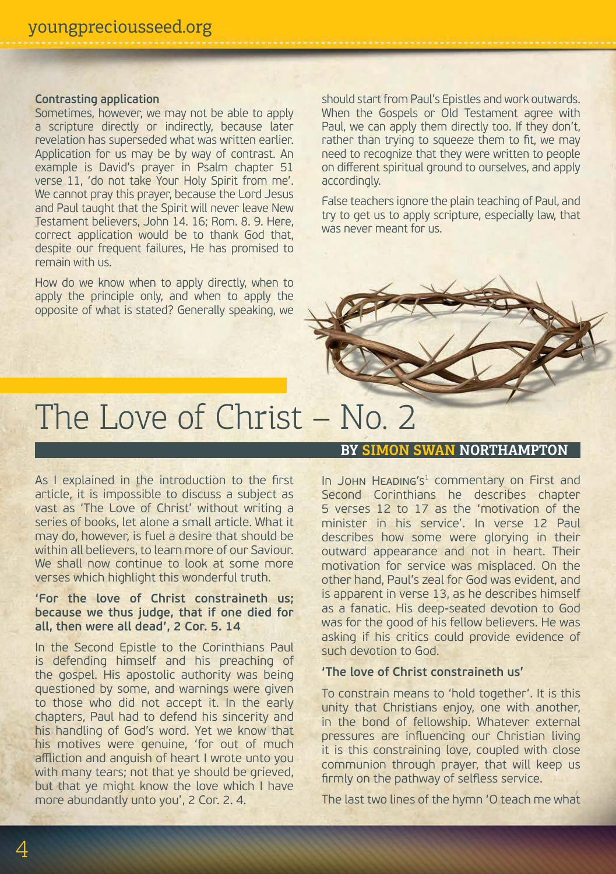### **Contrasting application**

Sometimes, however, we may not be able to apply a scripture directly or indirectly, because later revelation has superseded what was written earlier. Application for us may be by way of contrast. An example is David's prayer in Psalm chapter 51 verse 11, 'do not take Your Holy Spirit from me'. We cannot pray this prayer, because the Lord Jesus and Paul taught that the Spirit will never leave New Testament believers, John 14. 16; Rom. 8. 9. Here, correct application would be to thank God that, despite our frequent failures, He has promised to remain with us.

How do we know when to apply directly, when to apply the principle only, and when to apply the opposite of what is stated? Generally speaking, we should start from Paul's Epistles and work outwards. When the Gospels or Old Testament agree with Paul, we can apply them directly too. If they don't, rather than trying to squeeze them to fit, we may need to recognize that they were written to people on different spiritual ground to ourselves, and apply accordingly.

False teachers ignore the plain teaching of Paul, and try to get us to apply scripture, especially law, that was never meant for us.



## The Love of Christ – No. 2

### **BY SIMON SWAN NORTHAMPTON**

As I explained in the introduction to the first article, it is impossible to discuss a subject as vast as 'The Love of Christ' without writing a series of books, let alone a small article. What it may do, however, is fuel a desire that should be within all believers, to learn more of our Saviour. We shall now continue to look at some more verses which highlight this wonderful truth.

### **'For the love of Christ constraineth us; because we thus judge, that if one died for all, then were all dead', 2 Cor. 5. 14**

In the Second Epistle to the Corinthians Paul is defending himself and his preaching of the gospel. His apostolic authority was being questioned by some, and warnings were given to those who did not accept it. In the early chapters, Paul had to defend his sincerity and his handling of God's word. Yet we know that his motives were genuine, 'for out of much affliction and anguish of heart I wrote unto you with many tears; not that ye should be grieved, but that ye might know the love which I have more abundantly unto you', 2 Cor. 2. 4.

In John HEADING's<sup>1</sup> commentary on First and Second Corinthians he describes chapter 5 verses 12 to 17 as the 'motivation of the minister in his service'. In verse 12 Paul describes how some were glorying in their outward appearance and not in heart. Their motivation for service was misplaced. On the other hand, Paul's zeal for God was evident, and is apparent in verse 13, as he describes himself as a fanatic. His deep-seated devotion to God was for the good of his fellow believers. He was asking if his critics could provide evidence of such devotion to God.

### **'The love of Christ constraineth us'**

To constrain means to 'hold together'. It is this unity that Christians enjoy, one with another, in the bond of fellowship. Whatever external pressures are influencing our Christian living it is this constraining love, coupled with close communion through prayer, that will keep us firmly on the pathway of selfless service.

The last two lines of the hymn 'O teach me what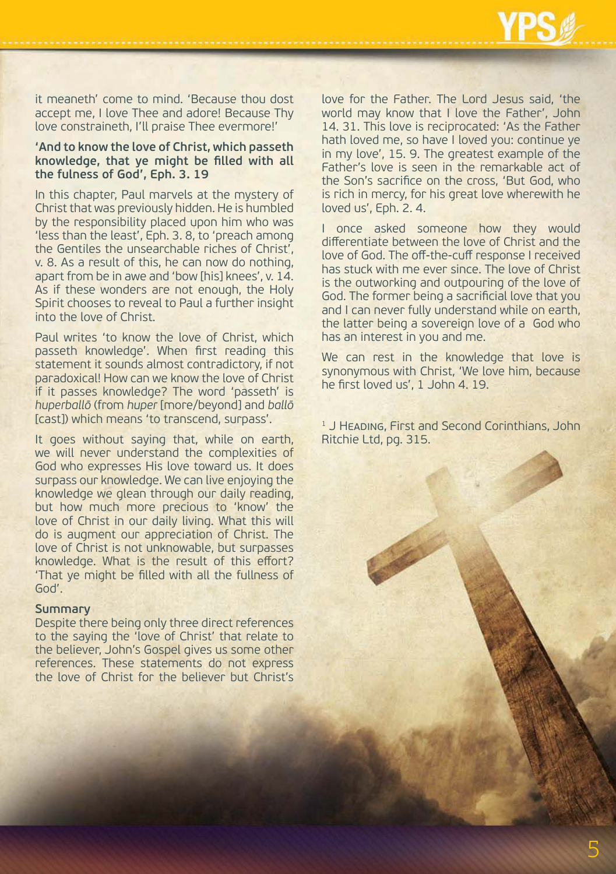it meaneth' come to mind. 'Because thou dost accept me, I love Thee and adore! Because Thy love constraineth, I'll praise Thee evermore!'

### **'And to know the love of Christ, which passeth knowledge, that ye might be filled with all the fulness of God', Eph. 3. 19**

In this chapter, Paul marvels at the mystery of Christ that was previously hidden. He is humbled by the responsibility placed upon him who was 'less than the least', Eph. 3. 8, to 'preach among the Gentiles the unsearchable riches of Christ', v. 8. As a result of this, he can now do nothing, apart from be in awe and 'bow [his] knees', v. 14. As if these wonders are not enough, the Holy Spirit chooses to reveal to Paul a further insight into the love of Christ.

Paul writes 'to know the love of Christ, which passeth knowledge'. When first reading this statement it sounds almost contradictory, if not paradoxical! How can we know the love of Christ if it passes knowledge? The word 'passeth' is *huperballō* (from *huper* [more/beyond] and *ballō* [cast]) which means 'to transcend, surpass'.

It goes without saying that, while on earth, we will never understand the complexities of God who expresses His love toward us. It does surpass our knowledge. We can live enjoying the knowledge we glean through our daily reading, but how much more precious to 'know' the love of Christ in our daily living. What this will do is augment our appreciation of Christ. The love of Christ is not unknowable, but surpasses knowledge. What is the result of this effort? 'That ye might be filled with all the fullness of God'.

#### **Summary**

Despite there being only three direct references to the saying the 'love of Christ' that relate to the believer, John's Gospel gives us some other references. These statements do not express the love of Christ for the believer but Christ's

love for the Father. The Lord Jesus said, 'the world may know that I love the Father', John 14. 31. This love is reciprocated: 'As the Father hath loved me, so have I loved you: continue ye in my love', 15. 9. The greatest example of the Father's love is seen in the remarkable act of the Son's sacrifice on the cross, 'But God, who is rich in mercy, for his great love wherewith he loved us', Eph. 2. 4.

I once asked someone how they would differentiate between the love of Christ and the love of God. The off-the-cuff response I received has stuck with me ever since. The love of Christ is the outworking and outpouring of the love of God. The former being a sacrificial love that you and I can never fully understand while on earth, the latter being a sovereign love of a God who has an interest in you and me.

We can rest in the knowledge that love is synonymous with Christ, 'We love him, because he first loved us', 1 John 4. 19.

<sup>1</sup> J Heaping, First and Second Corinthians, John Ritchie Ltd, pg. 315.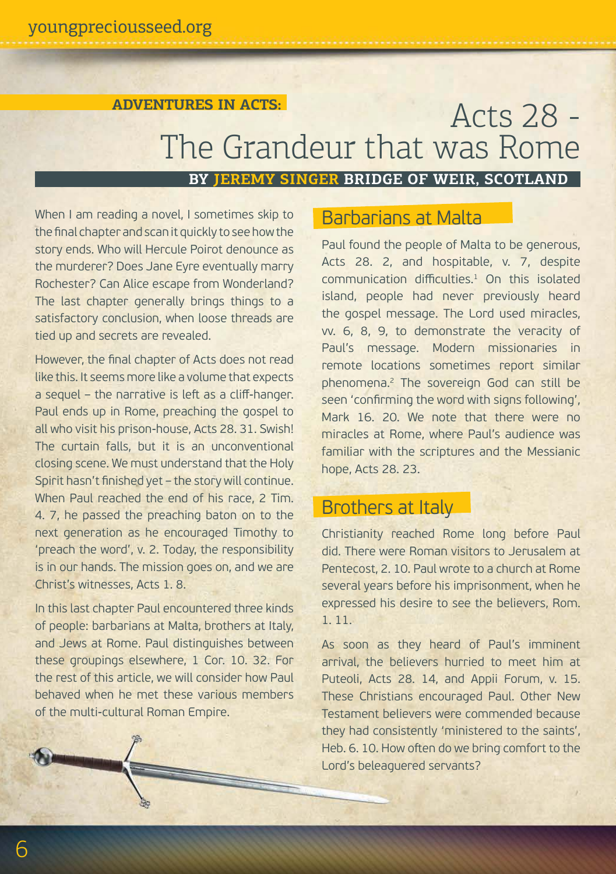## **ADVENTURES IN ACTS: BY JEREMY SINGER BRIDGE OF WEIR, SCOTLAND** Acts 28 - The Grandeur that was Rome

When I am reading a novel, I sometimes skip to the final chapter and scan it quickly to see how the story ends. Who will Hercule Poirot denounce as the murderer? Does Jane Eyre eventually marry Rochester? Can Alice escape from Wonderland? The last chapter generally brings things to a satisfactory conclusion, when loose threads are tied up and secrets are revealed.

However, the final chapter of Acts does not read like this. It seems more like a volume that expects a sequel – the narrative is left as a cliff-hanger. Paul ends up in Rome, preaching the gospel to all who visit his prison-house, Acts 28. 31. Swish! The curtain falls, but it is an unconventional closing scene. We must understand that the Holy Spirit hasn't finished yet – the story will continue. When Paul reached the end of his race, 2 Tim. 4. 7, he passed the preaching baton on to the next generation as he encouraged Timothy to 'preach the word', v. 2. Today, the responsibility is in our hands. The mission goes on, and we are Christ's witnesses, Acts 1. 8.

In this last chapter Paul encountered three kinds of people: barbarians at Malta, brothers at Italy, and Jews at Rome. Paul distinguishes between these groupings elsewhere, 1 Cor. 10. 32. For the rest of this article, we will consider how Paul behaved when he met these various members of the multi-cultural Roman Empire.

### Barbarians at Malta

Paul found the people of Malta to be generous, Acts 28. 2, and hospitable, v. 7, despite communication difficulties.<sup>1</sup> On this isolated island, people had never previously heard the gospel message. The Lord used miracles, vv. 6, 8, 9, to demonstrate the veracity of Paul's message. Modern missionaries in remote locations sometimes report similar phenomena.<sup>2</sup> The sovereign God can still be seen 'confirming the word with signs following', Mark 16. 20. We note that there were no miracles at Rome, where Paul's audience was familiar with the scriptures and the Messianic hope, Acts 28. 23.

## Brothers at Italy

Christianity reached Rome long before Paul did. There were Roman visitors to Jerusalem at Pentecost, 2. 10. Paul wrote to a church at Rome several years before his imprisonment, when he expressed his desire to see the believers, Rom. 1. 11.

As soon as they heard of Paul's imminent arrival, the believers hurried to meet him at Puteoli, Acts 28. 14, and Appii Forum, v. 15. These Christians encouraged Paul. Other New Testament believers were commended because they had consistently 'ministered to the saints', Heb. 6. 10. How often do we bring comfort to the Lord's beleaguered servants?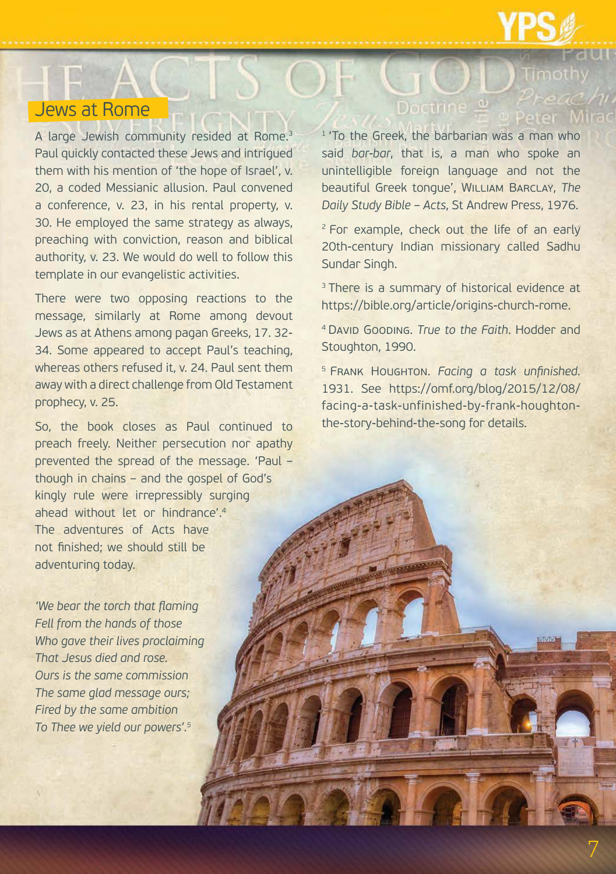**Fimoth** 

**CIUL** 

## Jews at Rome

A large Jewish community resided at Rome.<sup>3</sup> Paul quickly contacted these Jews and intrigued them with his mention of 'the hope of Israel', v. 20, a coded Messianic allusion. Paul convened a conference, v. 23, in his rental property, v. 30. He employed the same strategy as always, preaching with conviction, reason and biblical authority, v. 23. We would do well to follow this template in our evangelistic activities.

There were two opposing reactions to the message, similarly at Rome among devout Jews as at Athens among pagan Greeks, 17. 32- 34. Some appeared to accept Paul's teaching, whereas others refused it, v. 24. Paul sent them away with a direct challenge from Old Testament prophecy, v. 25.

So, the book closes as Paul continued to preach freely. Neither persecution nor apathy prevented the spread of the message. 'Paul – though in chains – and the gospel of God's kingly rule were irrepressibly surging ahead without let or hindrance'.<sup>4</sup> The adventures of Acts have not finished; we should still be adventuring today.

*'We bear the torch that flaming Fell from the hands of those Who gave their lives proclaiming That Jesus died and rose. Ours is the same commission The same glad message ours; Fired by the same ambition To Thee we yield our powers'.<sup>5</sup>*

<sup>1</sup> 'To the Greek, the barbarian was a man who said *bar-bar*, that is, a man who spoke an unintelligible foreign language and not the beautiful Greek tongue', William Barclay, *The Daily Study Bible – Acts*, St Andrew Press, 1976.

<sup>2</sup> For example, check out the life of an early 20th-century Indian missionary called Sadhu Sundar Singh.

<sup>3</sup> There is a summary of historical evidence at https://bible.org/article/origins-church-rome.

<sup>4</sup>David Gooding. *True to the Faith*. Hodder and Stoughton, 1990.

<sup>5</sup>Frank Houghton. *Facing a task unfinished*. 1931. See https://omf.org/blog/2015/12/08/ facing-a-task-unfinished-by-frank-houghtonthe-story-behind-the-song for details.